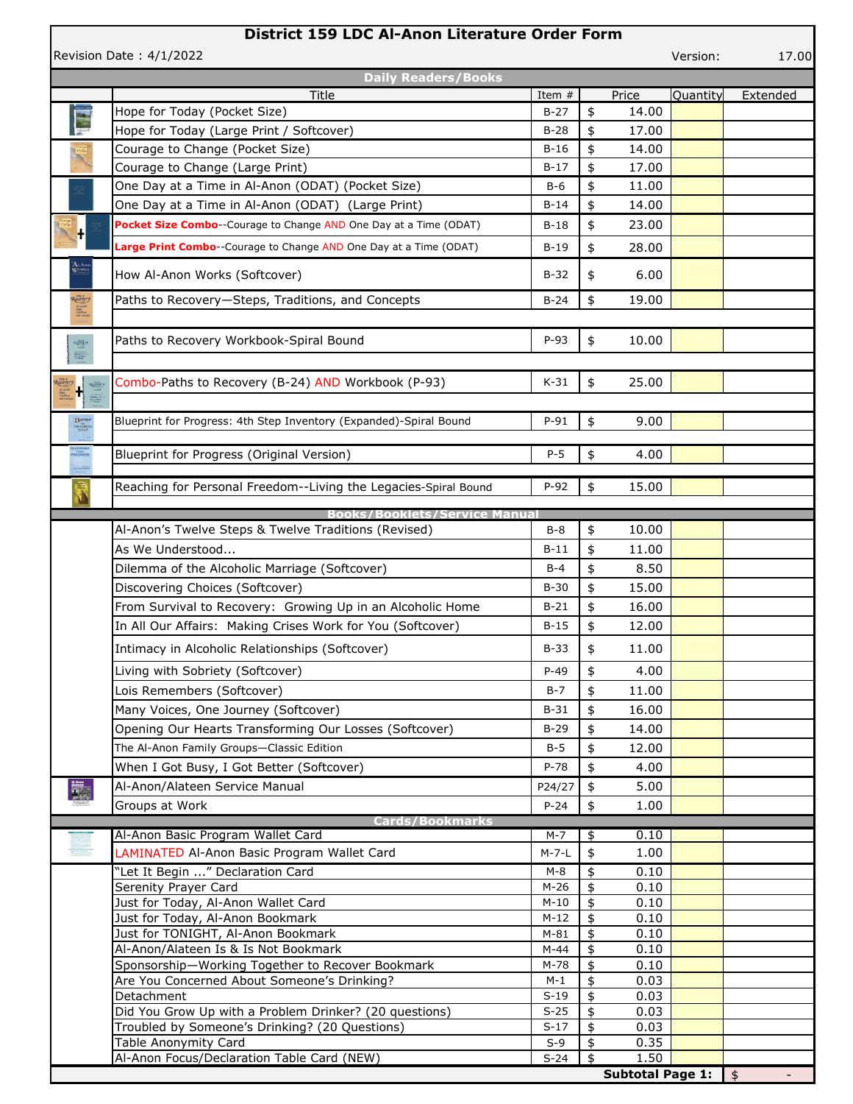## **District 159 LDC Al-Anon Literature Order Form**

Revision Date : 4/1/ 2022

Version: 17.00

|                                                                                                  | <b>Daily Readers/Books</b>                                             |                  |                     |                         |          |            |
|--------------------------------------------------------------------------------------------------|------------------------------------------------------------------------|------------------|---------------------|-------------------------|----------|------------|
|                                                                                                  | <b>Title</b>                                                           | Item #           |                     | Price                   | Quantity | Extended   |
| in 1999.                                                                                         | Hope for Today (Pocket Size)                                           | $B-27$           | \$                  | 14.00                   |          |            |
|                                                                                                  | Hope for Today (Large Print / Softcover)                               | $B-28$           | \$                  | 17.00                   |          |            |
|                                                                                                  | Courage to Change (Pocket Size)                                        | $B-16$           | \$                  | 14.00                   |          |            |
|                                                                                                  | Courage to Change (Large Print)                                        | $B-17$           | \$                  | 17.00                   |          |            |
|                                                                                                  | One Day at a Time in Al-Anon (ODAT) (Pocket Size)                      | $B-6$            | \$                  | 11.00                   |          |            |
|                                                                                                  | One Day at a Time in Al-Anon (ODAT) (Large Print)                      | $B-14$           | \$                  | 14.00                   |          |            |
| H                                                                                                | Pocket Size Combo--Courage to Change AND One Day at a Time (ODAT)      | $B-18$           | \$                  | 23.00                   |          |            |
|                                                                                                  | Large Print Combo--Courage to Change AND One Day at a Time (ODAT)      | $B-19$           | \$                  | 28.00                   |          |            |
| $\mathbf{A}$ . As: $\mathbf{W}^{\text{CMB}}$                                                     | How Al-Anon Works (Softcover)                                          | $B-32$           | \$                  | 6.00                    |          |            |
| Recovery                                                                                         | Paths to Recovery-Steps, Traditions, and Concepts                      | $B-24$           | \$                  | 19.00                   |          |            |
| Sign<br>Helitry<br>#Military                                                                     |                                                                        |                  |                     |                         |          |            |
| $\mathcal{R}_{\text{cusp}}^{\text{cusp}}$                                                        | Paths to Recovery Workbook-Spiral Bound                                | $P-93$           | \$                  | 10.00                   |          |            |
|                                                                                                  |                                                                        |                  |                     |                         |          |            |
| Rachery<br>$\mathbf{H}$<br>电                                                                     | Combo-Paths to Recovery (B-24) AND Workbook (P-93)                     | $K-31$           | \$                  | 25.00                   |          |            |
|                                                                                                  |                                                                        |                  |                     |                         |          |            |
| $\begin{array}{c} \textbf{B}^{\text{norm}} \\ \textbf{100} \textbf{00} \textbf{100} \end{array}$ | Blueprint for Progress: 4th Step Inventory (Expanded)-Spiral Bound     | $P-91$           | \$                  | 9.00                    |          |            |
| BLUENWINT<br>FOR<br>PRODRESS                                                                     | Blueprint for Progress (Original Version)                              | $P-5$            | \$                  | 4.00                    |          |            |
|                                                                                                  |                                                                        |                  |                     |                         |          |            |
| J                                                                                                | Reaching for Personal Freedom--Living the Legacies-Spiral Bound        | $P-92$           | \$                  | 15.00                   |          |            |
|                                                                                                  | <b>Books/Booklets/Service</b>                                          |                  |                     |                         |          |            |
|                                                                                                  | Al-Anon's Twelve Steps & Twelve Traditions (Revised)                   | $B-8$            | \$                  | 10.00                   |          |            |
|                                                                                                  | As We Understood                                                       | $B-11$           | \$                  | 11.00                   |          |            |
|                                                                                                  | Dilemma of the Alcoholic Marriage (Softcover)                          | $B-4$            | \$                  | 8.50                    |          |            |
|                                                                                                  | Discovering Choices (Softcover)                                        | $B-30$           | \$                  | 15.00                   |          |            |
|                                                                                                  | From Survival to Recovery: Growing Up in an Alcoholic Home             | $B-21$           | \$                  | 16.00                   |          |            |
|                                                                                                  | In All Our Affairs: Making Crises Work for You (Softcover)             | B-15             | \$                  | 12.00                   |          |            |
|                                                                                                  |                                                                        |                  |                     |                         |          |            |
|                                                                                                  | Intimacy in Alcoholic Relationships (Softcover)                        | $B-33$           | \$                  | 11.00                   |          |            |
|                                                                                                  | Living with Sobriety (Softcover)                                       | $P-49$           | \$                  | 4.00                    |          |            |
|                                                                                                  | Lois Remembers (Softcover)                                             | $B-7$            | \$                  | 11.00                   |          |            |
|                                                                                                  | Many Voices, One Journey (Softcover)                                   | $B-31$           | \$                  | 16.00                   |          |            |
|                                                                                                  | Opening Our Hearts Transforming Our Losses (Softcover)                 | $B-29$           | \$                  | 14.00                   |          |            |
|                                                                                                  | The Al-Anon Family Groups-Classic Edition                              | $B-5$            | \$                  | 12.00                   |          |            |
|                                                                                                  | When I Got Busy, I Got Better (Softcover)                              | $P-78$           | \$                  | 4.00                    |          |            |
|                                                                                                  | Al-Anon/Alateen Service Manual                                         | P24/27           | \$                  | 5.00                    |          |            |
|                                                                                                  | Groups at Work                                                         | $P-24$           | \$                  | 1.00                    |          |            |
|                                                                                                  | Cards/Bookmarks                                                        |                  |                     |                         |          |            |
|                                                                                                  | Al-Anon Basic Program Wallet Card                                      | $M-7$            | \$                  | 0.10                    |          |            |
|                                                                                                  | LAMINATED Al-Anon Basic Program Wallet Card                            | $M - 7 - L$      | \$                  | 1.00                    |          |            |
|                                                                                                  | "Let It Begin " Declaration Card                                       | $M-8$            | \$                  | 0.10                    |          |            |
|                                                                                                  | Serenity Prayer Card                                                   | $M-26$           | \$                  | 0.10                    |          |            |
|                                                                                                  | Just for Today, Al-Anon Wallet Card                                    | $M-10$           | \$                  | 0.10                    |          |            |
|                                                                                                  | Just for Today, Al-Anon Bookmark<br>Just for TONIGHT, Al-Anon Bookmark | $M-12$<br>$M-81$ | \$<br>\$            | 0.10<br>0.10            |          |            |
|                                                                                                  | Al-Anon/Alateen Is & Is Not Bookmark                                   | $M-44$           | \$                  | 0.10                    |          |            |
|                                                                                                  | Sponsorship-Working Together to Recover Bookmark                       | M-78             | \$                  | 0.10                    |          |            |
|                                                                                                  | Are You Concerned About Someone's Drinking?                            | $M-1$            | \$                  | 0.03                    |          |            |
|                                                                                                  | Detachment                                                             | $S-19$           | \$                  | 0.03                    |          |            |
|                                                                                                  | Did You Grow Up with a Problem Drinker? (20 questions)                 | $S-25$           | \$                  | 0.03                    |          |            |
|                                                                                                  | Troubled by Someone's Drinking? (20 Questions)<br>Table Anonymity Card | $S-17$<br>$S-9$  | \$<br>\$            | 0.03<br>0.35            |          |            |
|                                                                                                  | Al-Anon Focus/Declaration Table Card (NEW)                             | $S-24$           | $\ddot{\mathbf{r}}$ | 1.50                    |          |            |
|                                                                                                  |                                                                        |                  |                     | <b>Subtotal Page 1:</b> |          | $\sqrt{5}$ |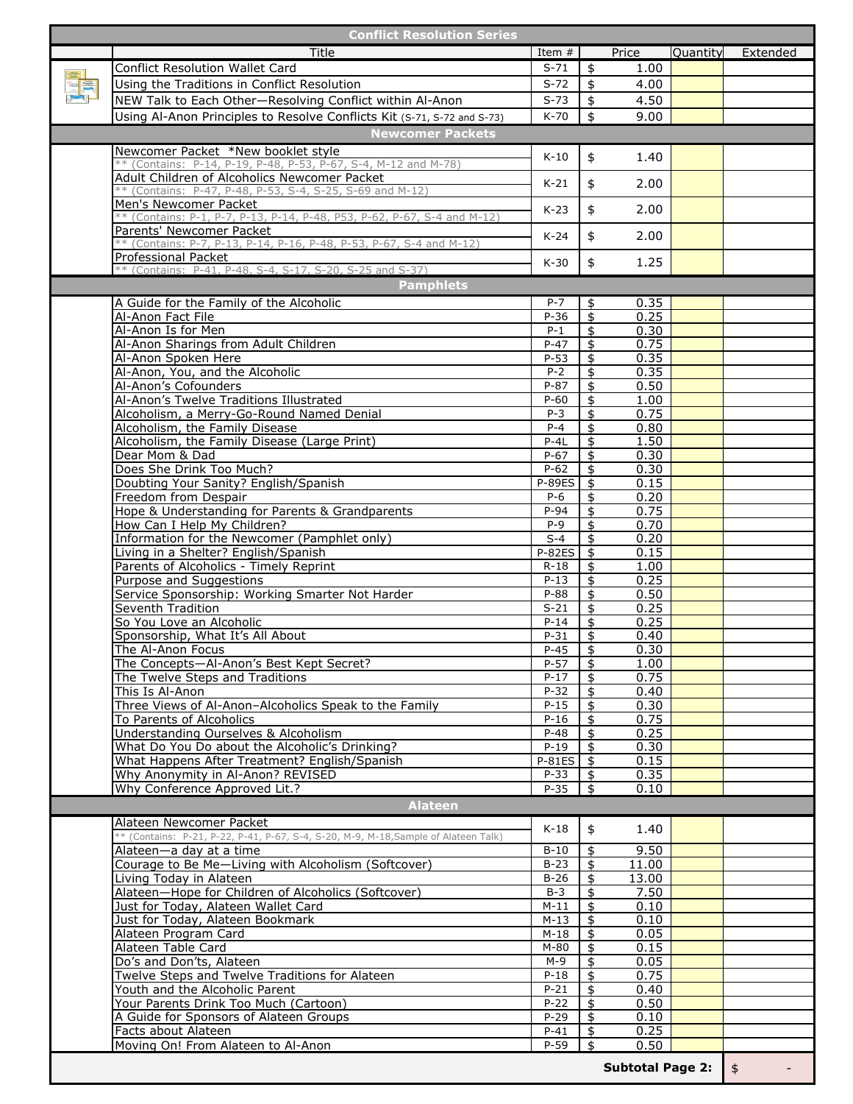| <b>Conflict Resolution Series</b>                                                          |                   |                               |                         |          |                    |
|--------------------------------------------------------------------------------------------|-------------------|-------------------------------|-------------------------|----------|--------------------|
| Title                                                                                      | Item $#$          |                               | Price                   | Quantity | Extended           |
| <b>Conflict Resolution Wallet Card</b>                                                     | $S-71$            | \$                            | 1.00                    |          |                    |
| Using the Traditions in Conflict Resolution                                                | $S-72$            | \$                            | 4.00                    |          |                    |
| NEW Talk to Each Other-Resolving Conflict within Al-Anon                                   | $S-73$            | \$                            | 4.50                    |          |                    |
| Using Al-Anon Principles to Resolve Conflicts Kit (S-71, S-72 and S-73)                    | K-70              | \$                            | 9.00                    |          |                    |
| <b>Newcomer Packets</b>                                                                    |                   |                               |                         |          |                    |
| Newcomer Packet *New booklet style                                                         |                   |                               |                         |          |                    |
| ** (Contains: P-14, P-19, P-48, P-53, P-67, S-4, M-12 and M-78)                            | $K-10$            | \$                            | 1.40                    |          |                    |
| Adult Children of Alcoholics Newcomer Packet                                               | $K-21$            | \$                            | 2.00                    |          |                    |
| ** (Contains: P-47, P-48, P-53, S-4, S-25, S-69 and M-12)<br>Men's Newcomer Packet         |                   |                               |                         |          |                    |
| ** (Contains: P-1, P-7, P-13, P-14, P-48, P53, P-62, P-67, S-4 and M-12)                   | $K-23$            | \$                            | 2.00                    |          |                    |
| Parents' Newcomer Packet                                                                   |                   | \$                            |                         |          |                    |
| ** (Contains: P-7, P-13, P-14, P-16, P-48, P-53, P-67, S-4 and M-12)                       | $K-24$            |                               | 2.00                    |          |                    |
| Professional Packet                                                                        | $K-30$            | \$                            | 1.25                    |          |                    |
| ** (Contains: P-41, P-48, S-4, S-17, S-20, S-25 and S-37)                                  |                   |                               |                         |          |                    |
| <b>Pamphlets</b>                                                                           |                   |                               |                         |          |                    |
| A Guide for the Family of the Alcoholic                                                    | $P - 7$           | \$                            | 0.35                    |          |                    |
| Al-Anon Fact File<br>Al-Anon Is for Men                                                    | $P-36$<br>$P-1$   | \$<br>$\overline{\mathbf{f}}$ | 0.25<br>0.30            |          |                    |
| Al-Anon Sharings from Adult Children                                                       | $P-47$            | $\frac{4}{5}$                 | 0.75                    |          |                    |
| Al-Anon Spoken Here                                                                        | $P-53$            | $\frac{4}{5}$                 | 0.35                    |          |                    |
| Al-Anon, You, and the Alcoholic                                                            | $P - 2$           | \$                            | 0.35                    |          |                    |
| Al-Anon's Cofounders                                                                       | $P-87$            | \$                            | 0.50                    |          |                    |
| Al-Anon's Twelve Traditions Illustrated                                                    | $P-60$            | \$                            | 1.00                    |          |                    |
| Alcoholism, a Merry-Go-Round Named Denial                                                  | $P-3$             | $\overline{\mathfrak{s}}$     | 0.75                    |          |                    |
| Alcoholism, the Family Disease<br>Alcoholism, the Family Disease (Large Print)             | $P - 4$<br>$P-4L$ | \$<br>\$                      | 0.80<br>1.50            |          |                    |
| Dear Mom & Dad                                                                             | $P-67$            | \$                            | 0.30                    |          |                    |
| Does She Drink Too Much?                                                                   | $P-62$            | \$                            | 0.30                    |          |                    |
| Doubting Your Sanity? English/Spanish                                                      | <b>P-89ES</b>     | \$                            | 0.15                    |          |                    |
| Freedom from Despair                                                                       | $P-6$             | \$                            | 0.20                    |          |                    |
| Hope & Understanding for Parents & Grandparents                                            | $P-94$            | \$                            | 0.75                    |          |                    |
| How Can I Help My Children?                                                                | $P-9$<br>$S-4$    | \$<br>$\frac{1}{2}$           | 0.70<br>0.20            |          |                    |
| Information for the Newcomer (Pamphlet only)<br>Living in a Shelter? English/Spanish       | <b>P-82ES</b>     | $\overline{\mathfrak{s}}$     | 0.15                    |          |                    |
| Parents of Alcoholics - Timely Reprint                                                     | $R-18$            | \$                            | 1.00                    |          |                    |
| Purpose and Suggestions                                                                    | $P-13$            | $\frac{1}{2}$                 | 0.25                    |          |                    |
| Service Sponsorship: Working Smarter Not Harder                                            | P-88              | \$                            | 0.50                    |          |                    |
| Seventh Tradition                                                                          | $S-21$            | \$                            | 0.25                    |          |                    |
| So You Love an Alcoholic                                                                   | $P-14$            | \$                            | 0.25                    |          |                    |
| Sponsorship, What It's All About<br>The Al-Anon Focus                                      | $P-31$<br>$P-45$  | \$<br>\$                      | 0.40<br>0.30            |          |                    |
| The Concepts-Al-Anon's Best Kept Secret?                                                   | $P-57$            | \$                            | 1.00                    |          |                    |
| The Twelve Steps and Traditions                                                            | $P-17$            | \$                            | 0.75                    |          |                    |
| This Is Al-Anon                                                                            | $P-32$            | \$                            | 0.40                    |          |                    |
| Three Views of Al-Anon-Alcoholics Speak to the Family                                      | $P-15$            | \$                            | 0.30                    |          |                    |
| To Parents of Alcoholics                                                                   | $P-16$            | \$                            | 0.75                    |          |                    |
| Understanding Ourselves & Alcoholism<br>What Do You Do about the Alcoholic's Drinking?     | $P-48$<br>$P-19$  | \$<br>\$                      | 0.25<br>0.30            |          |                    |
| What Happens After Treatment? English/Spanish                                              | <b>P-81ES</b>     | \$                            | 0.15                    |          |                    |
| Why Anonymity in Al-Anon? REVISED                                                          | P-33              | \$                            | 0.35                    |          |                    |
| Why Conference Approved Lit.?                                                              | $P-35$            | \$                            | 0.10                    |          |                    |
| <b>Alateen</b>                                                                             |                   |                               |                         |          |                    |
| Alateen Newcomer Packet                                                                    |                   |                               |                         |          |                    |
| ** (Contains: P-21, P-22, P-41, P-67, S-4, S-20, M-9, M-18, Sample of Alateen Talk)        | $K-18$            | \$                            | 1.40                    |          |                    |
| Alateen-a day at a time                                                                    | $B-10$            | \$                            | 9.50                    |          |                    |
| Courage to Be Me-Living with Alcoholism (Softcover)                                        | $B-23$            | $\frac{1}{2}$                 | 11.00                   |          |                    |
| Living Today in Alateen                                                                    | $B-26$            | \$                            | 13.00                   |          |                    |
| Alateen-Hope for Children of Alcoholics (Softcover)<br>Just for Today, Alateen Wallet Card | $B-3$<br>$M-11$   | \$<br>$\mathbf{\hat{z}}$      | 7.50<br>0.10            |          |                    |
| Just for Today, Alateen Bookmark                                                           | $M-13$            | \$                            | 0.10                    |          |                    |
| Alateen Program Card                                                                       | $M-18$            | \$                            | 0.05                    |          |                    |
| Alateen Table Card                                                                         | $M-80$            | \$                            | 0.15                    |          |                    |
| Do's and Don'ts, Alateen                                                                   | $M-9$             | \$                            | 0.05                    |          |                    |
| Twelve Steps and Twelve Traditions for Alateen                                             | $P-18$            | $\frac{1}{2}$                 | 0.75                    |          |                    |
| Youth and the Alcoholic Parent                                                             | $P - 21$          | \$                            | 0.40                    |          |                    |
| Your Parents Drink Too Much (Cartoon)<br>A Guide for Sponsors of Alateen Groups            | $P-22$<br>$P-29$  | \$<br>\$                      | 0.50<br>0.10            |          |                    |
| Facts about Alateen                                                                        | $P - 41$          | \$                            | 0.25                    |          |                    |
| Moving On! From Alateen to Al-Anon                                                         | P-59              | \$                            | 0.50                    |          |                    |
|                                                                                            |                   |                               |                         |          |                    |
|                                                                                            |                   |                               | <b>Subtotal Page 2:</b> |          | $\mathbf{\hat{5}}$ |